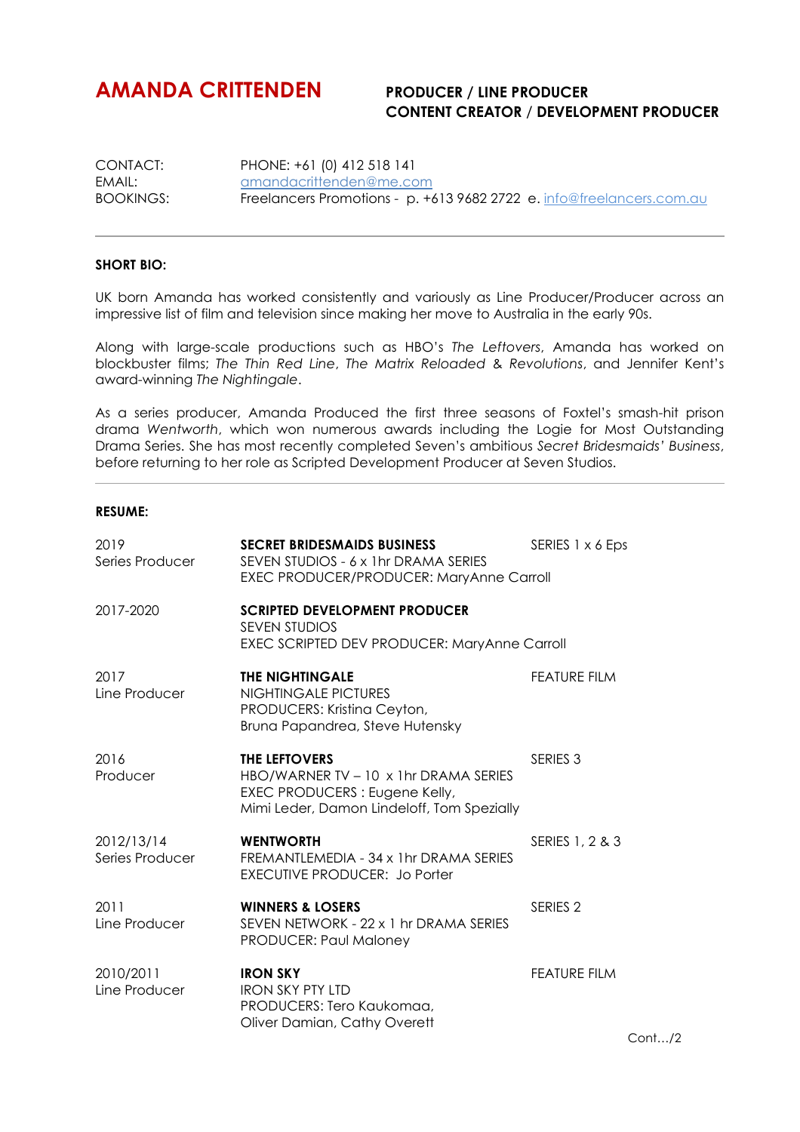## **AMANDA CRITTENDEN PRODUCER / LINE PRODUCER**

## **CONTENT CREATOR** / **DEVELOPMENT PRODUCER**

CONTACT: PHONE: +61 (0) 412 518 141 EMAIL: amandacrittenden@me.com<br>BOOKINGS: Freelancers Promotions - p. +6 Freelancers Promotions - p. +613 9682 2722 e. info@freelancers.com.au

## **SHORT BIO:**

UK born Amanda has worked consistently and variously as Line Producer/Producer across an impressive list of film and television since making her move to Australia in the early 90s.

Along with large-scale productions such as HBO's *The Leftovers*, Amanda has worked on blockbuster films; *The Thin Red Line*, *The Matrix Reloaded* & *Revolutions*, and Jennifer Kent's award-winning *The Nightingale*.

As a series producer, Amanda Produced the first three seasons of Foxtel's smash-hit prison drama *Wentworth*, which won numerous awards including the Logie for Most Outstanding Drama Series. She has most recently completed Seven's ambitious *Secret Bridesmaids' Business*, before returning to her role as Scripted Development Producer at Seven Studios.

## **RESUME:**

| 2019<br>Series Producer       | <b>SECRET BRIDESMAIDS BUSINESS</b><br>SEVEN STUDIOS - 6 x 1hr DRAMA SERIES<br>EXEC PRODUCER/PRODUCER: MaryAnne Carroll                 | SERIES 1 x 6 Eps    |
|-------------------------------|----------------------------------------------------------------------------------------------------------------------------------------|---------------------|
| 2017-2020                     | <b>SCRIPTED DEVELOPMENT PRODUCER</b><br><b>SEVEN STUDIOS</b><br><b>EXEC SCRIPTED DEV PRODUCER: MaryAnne Carroll</b>                    |                     |
| 2017<br>Line Producer         | <b>THE NIGHTINGALE</b><br>NIGHTINGALE PICTURES<br>PRODUCERS: Kristina Ceyton,<br>Bruna Papandrea, Steve Hutensky                       | <b>FEATURE FILM</b> |
| 2016<br>Producer              | THE LEFTOVERS<br>HBO/WARNER TV - 10 x 1hr DRAMA SERIES<br>EXEC PRODUCERS : Eugene Kelly,<br>Mimi Leder, Damon Lindeloff, Tom Spezially | SERIES <sub>3</sub> |
| 2012/13/14<br>Series Producer | <b>WENTWORTH</b><br>FREMANTLEMEDIA - 34 x 1 hr DRAMA SERIES<br><b>EXECUTIVE PRODUCER: Jo Porter</b>                                    | SERIES 1, 2 & 3     |
| 2011<br>Line Producer         | <b>WINNERS &amp; LOSERS</b><br>SEVEN NETWORK - 22 x 1 hr DRAMA SERIES<br><b>PRODUCER: Paul Maloney</b>                                 | SERIES <sub>2</sub> |
| 2010/2011<br>Line Producer    | <b>IRON SKY</b><br><b>IRON SKY PTY LTD</b><br>PRODUCERS: Tero Kaukomaa,<br>Oliver Damian, Cathy Overett                                | <b>FEATURE FILM</b> |

Cont…/2